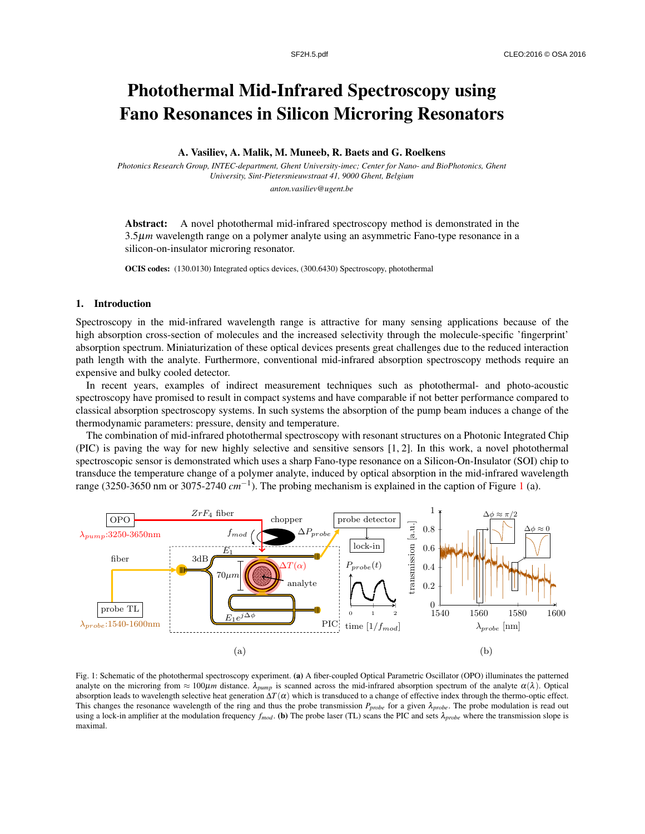# Photothermal Mid-Infrared Spectroscopy using Fano Resonances in Silicon Microring Resonators

### A. Vasiliev, A. Malik, M. Muneeb, R. Baets and G. Roelkens

*Photonics Research Group, INTEC-department, Ghent University-imec; Center for Nano- and BioPhotonics, Ghent University, Sint-Pietersnieuwstraat 41, 9000 Ghent, Belgium anton.vasiliev@ugent.be*

Abstract: A novel photothermal mid-infrared spectroscopy method is demonstrated in the 3.5µ*m* wavelength range on a polymer analyte using an asymmetric Fano-type resonance in a silicon-on-insulator microring resonator.

OCIS codes: (130.0130) Integrated optics devices, (300.6430) Spectroscopy, photothermal

## 1. Introduction

Spectroscopy in the mid-infrared wavelength range is attractive for many sensing applications because of the high absorption cross-section of molecules and the increased selectivity through the molecule-specific 'fingerprint' absorption spectrum. Miniaturization of these optical devices presents great challenges due to the reduced interaction path length with the analyte. Furthermore, conventional mid-infrared absorption spectroscopy methods require an expensive and bulky cooled detector.

In recent years, examples of indirect measurement techniques such as photothermal- and photo-acoustic spectroscopy have promised to result in compact systems and have comparable if not better performance compared to classical absorption spectroscopy systems. In such systems the absorption of the pump beam induces a change of the thermodynamic parameters: pressure, density and temperature.

The combination of mid-infrared photothermal spectroscopy with resonant structures on a Photonic Integrated Chip (PIC) is paving the way for new highly selective and sensitive sensors [1, 2]. In this work, a novel photothermal spectroscopic sensor is demonstrated which uses a sharp Fano-type resonance on a Silicon-On-Insulator (SOI) chip to transduce the temperature change of a polymer analyte, induced by optical absorption in the mid-infrared wavelength range (3250-3650 nm or 3075-2740 *cm*−<sup>1</sup> ). The probing mechanism is explained in the caption of Figure 1 (a).



Fig. 1: Schematic of the photothermal spectroscopy experiment. (a) A fiber-coupled Optical Parametric Oscillator (OPO) illuminates the patterned analyte on the microring from  $\approx 100 \mu m$  distance.  $\lambda_{pump}$  is scanned across the mid-infrared absorption spectrum of the analyte  $\alpha(\lambda)$ . Optical absorption leads to wavelength selective heat generation  $\Delta T(\alpha)$  which is transduced to a change of effective index through the thermo-optic effect. This changes the resonance wavelength of the ring and thus the probe transmission  $P_{probe}$  for a given  $\lambda_{probe}$ . The probe modulation is read out using a lock-in amplifier at the modulation frequency  $f_{mod}$ . (b) The probe laser (TL) scans the PIC and sets  $\lambda_{probe}$  where the transmission slope is maximal.